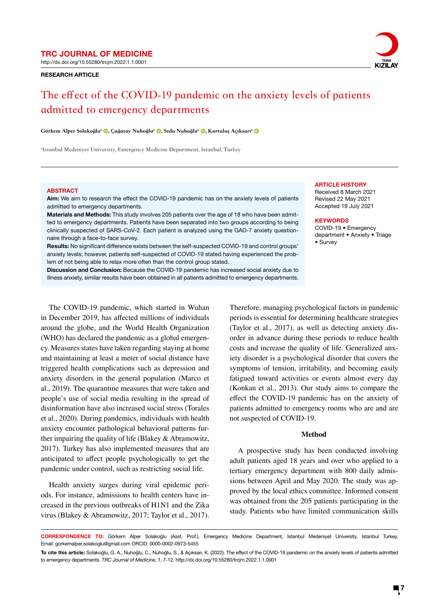http://dx.doi.org/10.55280/trcjm.2022.1.1.0001

### RESEARCH ARTICLE



# **The effect of the COVID-19 pandemic on the anxiety levels of patients admitted to emergency departments**

Görkem Alper Solakoğlu<sup>a</sup> <sup>(D</sup>, Çağatay Nuhoğlu<sup>a</sup> <sup>(D</sup>, Seda Nuhoğlu<sup>a</sup> <sup>(D</sup>, Kurtuluş Açıksarı<sup>a</sup> (D

a Istanbul Medeniyet University, Emergency Medicine Department, Istanbul, Turkey

### **ABSTRACT**

Aim: We aim to research the effect the COVID-19 pandemic has on the anxiety levels of patients admitted to emergency departments.

Materials and Methods: This study involves 205 patients over the age of 18 who have been admitted to emergency departments. Patients have been separated into two groups according to being clinically suspected of SARS-CoV-2. Each patient is analyzed using the GAD-7 anxiety questionnaire through a face-to-face survey.

Results: No significant difference exists between the self-suspected COVID-19 and control groups' anxiety levels; however, patients self-suspected of COVID-19 stated having experienced the problem of not being able to relax more often than the control group stated.

Discussion and Conclusion: Because the COVID-19 pandemic has increased social anxiety due to illness anxiety, similar results have been obtained in all patients admitted to emergency departments.

The COVID-19 pandemic, which started in Wuhan in December 2019, has affected millions of individuals around the globe, and the World Health Organization (WHO) has declared the pandemic as a global emergency. Measures states have taken regarding staying at home and maintaining at least a meter of social distance have triggered health complications such as depression and anxiety disorders in the general population (Marco et al., 2019). The quarantine measures that were taken and people's use of social media resulting in the spread of disinformation have also increased social stress (Torales et al., 2020). During pandemics, individuals with health anxiety encounter pathological behavioral patterns further impairing the quality of life (Blakey & Abramowitz, 2017). Turkey has also implemented measures that are anticipated to affect people psychologically to get the pandemic under control, such as restricting social life.

Health anxiety surges during viral epidemic periods. For instance, admissions to health centers have increased in the previous outbreaks of H1N1 and the Zika virus (Blakey & Abramowitz, 2017; Taylor et al., 2017). **ARTICLE HISTORY** 

Received 8 March 2021 Revised 22 May 2021 Accepted 19 July 2021

### **KEYWORDS**

COVID-19 • Emergency department • Anxiety • Triage • Survey

Therefore, managing psychological factors in pandemic periods is essential for determining healthcare strategies (Taylor et al., 2017), as well as detecting anxiety disorder in advance during these periods to reduce health costs and increase the quality of life. Generalized anxiety disorder is a psychological disorder that covers the symptoms of tension, irritability, and becoming easily fatigued toward activities or events almost every day (Konkan et al., 2013). Our study aims to compare the effect the COVID-19 pandemic has on the anxiety of patients admitted to emergency rooms who are and are not suspected of COVID-19.

### **Method**

A prospective study has been conducted involving adult patients aged 18 years and over who applied to a tertiary emergency department with 800 daily admissions between April and May 2020. The study was approved by the local ethics committee. Informed consent was obtained from the 205 patients participating in the study. Patients who have limited communication skills

CORRESPONDENCE TO: Görkem Alper Solakoğlu (Asst. Prof.), Emergency Medicine Department, Istanbul Medeniyet University, Istanbul Turkey. Email: gorkemalper.solakoglu@gmail.com ORCID: 0000-0002-0973-5455

To cite this article: Solakoğlu, G. A., Nuhoğlu, C., Nuhoğlu, S., & Açıksarı, K. (2022). The effect of the COVID-19 pandemic on the anxiety levels of patients admitted to emergency departments. *TRC Journal of Medicine*, *1*, 7-12. http://dx.doi.org/10.55280/trcjm.2022.1.1.0001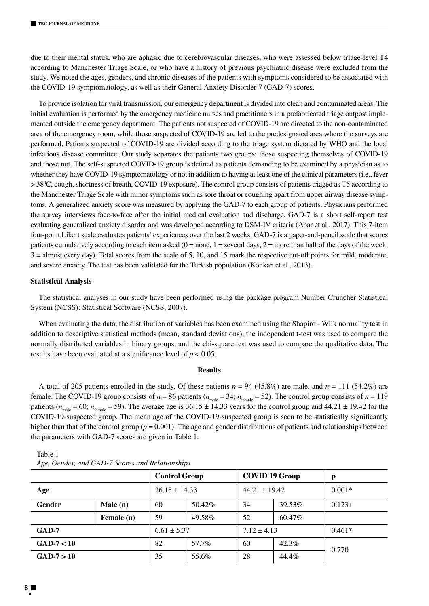due to their mental status, who are aphasic due to cerebrovascular diseases, who were assessed below triage-level T4 according to Manchester Triage Scale, or who have a history of previous psychiatric disease were excluded from the study. We noted the ages, genders, and chronic diseases of the patients with symptoms considered to be associated with the COVID-19 symptomatology, as well as their General Anxiety Disorder-7 (GAD-7) scores.

To provide isolation for viral transmission, our emergency department is divided into clean and contaminated areas. The initial evaluation is performed by the emergency medicine nurses and practitioners in a prefabricated triage outpost implemented outside the emergency department. The patients not suspected of COVID-19 are directed to the non-contaminated area of the emergency room, while those suspected of COVID-19 are led to the predesignated area where the surveys are performed. Patients suspected of COVID-19 are divided according to the triage system dictated by WHO and the local infectious disease committee. Our study separates the patients two groups: those suspecting themselves of COVID-19 and those not. The self-suspected COVID-19 group is defined as patients demanding to be examined by a physician as to whether they have COVID-19 symptomatology or not in addition to having at least one of the clinical parameters (i.e., fever > 380 C, cough, shortness of breath, COVID-19 exposure). The control group consists of patients triaged as T5 according to the Manchester Triage Scale with minor symptoms such as sore throat or coughing apart from upper airway disease symptoms. A generalized anxiety score was measured by applying the GAD-7 to each group of patients. Physicians performed the survey interviews face-to-face after the initial medical evaluation and discharge. GAD-7 is a short self-report test evaluating generalized anxiety disorder and was developed according to DSM-IV criteria (Abar et al., 2017). This 7-item four-point Likert scale evaluates patients' experiences over the last 2 weeks. GAD-7 is a paper-and-pencil scale that scores patients cumulatively according to each item asked  $(0 = none, 1 = seven$  days,  $2 = more than half of the days of the week,$ 3 = almost every day). Total scores from the scale of 5, 10, and 15 mark the respective cut-off points for mild, moderate, and severe anxiety. The test has been validated for the Turkish population (Konkan et al., 2013).

### **Statistical Analysis**

The statistical analyses in our study have been performed using the package program Number Cruncher Statistical System (NCSS): Statistical Software (NCSS, 2007).

When evaluating the data, the distribution of variables has been examined using the Shapiro - Wilk normality test in addition to descriptive statistical methods (mean, standard deviations), the independent t-test was used to compare the normally distributed variables in binary groups, and the chi-square test was used to compare the qualitative data. The results have been evaluated at a significance level of *p* < 0.05.

# **Results**

A total of 205 patients enrolled in the study. Of these patients  $n = 94$  (45.8%) are male, and  $n = 111$  (54.2%) are female. The COVID-19 group consists of  $n = 86$  patients ( $n_{\text{male}} = 34$ ;  $n_{\text{female}} = 52$ ). The control group consists of  $n = 119$ patients ( $n_{\text{male}} = 60$ ;  $n_{\text{female}} = 59$ ). The average age is 36.15  $\pm$  14.33 years for the control group and 44.21  $\pm$  19.42 for the COVID-19-suspected group. The mean age of the COVID-19-suspected group is seen to be statistically significantly higher than that of the control group ( $p = 0.001$ ). The age and gender distributions of patients and relationships between the parameters with GAD-7 scores are given in Table 1.

|              |            | <b>Control Group</b> |        | <b>COVID 19 Group</b> |        | p        |
|--------------|------------|----------------------|--------|-----------------------|--------|----------|
| Age          |            | $36.15 \pm 14.33$    |        | $44.21 \pm 19.42$     |        | $0.001*$ |
| Gender       | Male(n)    | 60                   | 50.42% | 34                    | 39.53% | $0.123+$ |
|              | Female (n) | 59                   | 49.58% | 52                    | 60.47% |          |
| GAD-7        |            | $6.61 \pm 5.37$      |        | $7.12 \pm 4.13$       |        | $0.461*$ |
| $GAD-7 < 10$ |            | 82                   | 57.7%  | 60                    | 42.3%  | 0.770    |
| $GAD-7 > 10$ |            | 35                   | 55.6%  | 28                    | 44.4%  |          |

| Table 1                                         |
|-------------------------------------------------|
| Age, Gender, and GAD-7 Scores and Relationships |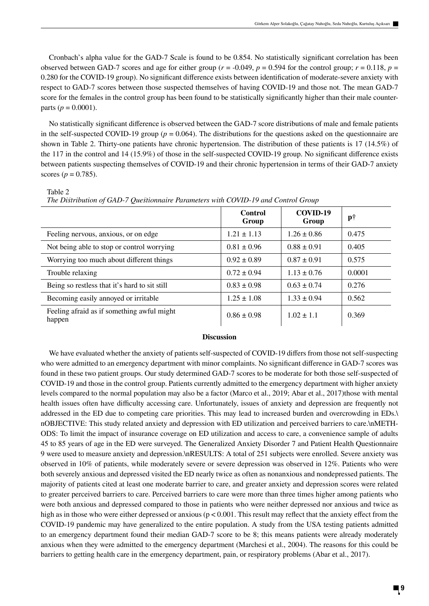Cronbach's alpha value for the GAD-7 Scale is found to be 0.854. No statistically significant correlation has been observed between GAD-7 scores and age for either group ( $r = -0.049$ ,  $p = 0.594$  for the control group;  $r = 0.118$ ,  $p =$ 0.280 for the COVID-19 group). No significant difference exists between identification of moderate-severe anxiety with respect to GAD-7 scores between those suspected themselves of having COVID-19 and those not. The mean GAD-7 score for the females in the control group has been found to be statistically significantly higher than their male counterparts ( $p = 0.0001$ ).

No statistically significant difference is observed between the GAD-7 score distributions of male and female patients in the self-suspected COVID-19 group  $(p = 0.064)$ . The distributions for the questions asked on the questionnaire are shown in Table 2. Thirty-one patients have chronic hypertension. The distribution of these patients is 17 (14.5%) of the 117 in the control and 14 (15.9%) of those in the self-suspected COVID-19 group. No significant difference exists between patients suspecting themselves of COVID-19 and their chronic hypertension in terms of their GAD-7 anxiety scores ( $p = 0.785$ ).

Table 2

*The Distribution of GAD-7 Questionnaire Parameters with COVID-19 and Control Group*

|                                                      | <b>Control</b><br>Group | COVID-19<br>Group | $p\dagger$ |  |
|------------------------------------------------------|-------------------------|-------------------|------------|--|
| Feeling nervous, anxious, or on edge                 | $1.21 \pm 1.13$         | $1.26 \pm 0.86$   | 0.475      |  |
| Not being able to stop or control worrying           | $0.81 \pm 0.96$         | $0.88 \pm 0.91$   | 0.405      |  |
| Worrying too much about different things             | $0.92 \pm 0.89$         | $0.87 \pm 0.91$   | 0.575      |  |
| Trouble relaxing                                     | $0.72 \pm 0.94$         | $1.13 \pm 0.76$   | 0.0001     |  |
| Being so restless that it's hard to sit still        | $0.83 \pm 0.98$         | $0.63 \pm 0.74$   | 0.276      |  |
| Becoming easily annoyed or irritable                 | $1.25 \pm 1.08$         | $1.33 \pm 0.94$   | 0.562      |  |
| Feeling afraid as if something awful might<br>happen | $0.86 \pm 0.98$         | $1.02 \pm 1.1$    | 0.369      |  |

## **Discussion**

We have evaluated whether the anxiety of patients self-suspected of COVID-19 differs from those not self-suspecting who were admitted to an emergency department with minor complaints. No significant difference in GAD-7 scores was found in these two patient groups. Our study determined GAD-7 scores to be moderate for both those self-suspected of COVID-19 and those in the control group. Patients currently admitted to the emergency department with higher anxiety levels compared to the normal population may also be a factor (Marco et al., 2019; Abar et al., 2017)those with mental health issues often have difficulty accessing care. Unfortunately, issues of anxiety and depression are frequently not addressed in the ED due to competing care priorities. This may lead to increased burden and overcrowding in EDs.\ nOBJECTIVE: This study related anxiety and depression with ED utilization and perceived barriers to care.\nMETH-ODS: To limit the impact of insurance coverage on ED utilization and access to care, a convenience sample of adults 45 to 85 years of age in the ED were surveyed. The Generalized Anxiety Disorder 7 and Patient Health Questionnaire 9 were used to measure anxiety and depression.\nRESULTS: A total of 251 subjects were enrolled. Severe anxiety was observed in 10% of patients, while moderately severe or severe depression was observed in 12%. Patients who were both severely anxious and depressed visited the ED nearly twice as often as nonanxious and nondepressed patients. The majority of patients cited at least one moderate barrier to care, and greater anxiety and depression scores were related to greater perceived barriers to care. Perceived barriers to care were more than three times higher among patients who were both anxious and depressed compared to those in patients who were neither depressed nor anxious and twice as high as in those who were either depressed or anxious ( $p < 0.001$ . This result may reflect that the anxiety effect from the COVID-19 pandemic may have generalized to the entire population. A study from the USA testing patients admitted to an emergency department found their median GAD-7 score to be 8; this means patients were already moderately anxious when they were admitted to the emergency department (Marchesi et al., 2004). The reasons for this could be barriers to getting health care in the emergency department, pain, or respiratory problems (Abar et al., 2017).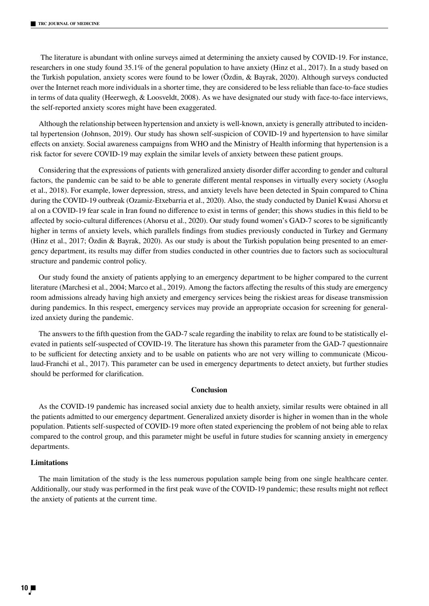The literature is abundant with online surveys aimed at determining the anxiety caused by COVID-19. For instance, researchers in one study found 35.1% of the general population to have anxiety (Hinz et al., 2017). In a study based on the Turkish population, anxiety scores were found to be lower (Özdin, & Bayrak, 2020). Although surveys conducted over the Internet reach more individuals in a shorter time, they are considered to be less reliable than face-to-face studies in terms of data quality (Heerwegh, & Loosveldt, 2008). As we have designated our study with face-to-face interviews, the self-reported anxiety scores might have been exaggerated.

Although the relationship between hypertension and anxiety is well-known, anxiety is generally attributed to incidental hypertension (Johnson, 2019). Our study has shown self-suspicion of COVID-19 and hypertension to have similar effects on anxiety. Social awareness campaigns from WHO and the Ministry of Health informing that hypertension is a risk factor for severe COVID-19 may explain the similar levels of anxiety between these patient groups.

Considering that the expressions of patients with generalized anxiety disorder differ according to gender and cultural factors, the pandemic can be said to be able to generate different mental responses in virtually every society (Asoglu et al., 2018). For example, lower depression, stress, and anxiety levels have been detected in Spain compared to China during the COVID-19 outbreak (Ozamiz-Etxebarria et al., 2020). Also, the study conducted by Daniel Kwasi Ahorsu et al on a COVID-19 fear scale in Iran found no difference to exist in terms of gender; this shows studies in this field to be affected by socio-cultural differences (Ahorsu et al., 2020). Our study found women's GAD-7 scores to be significantly higher in terms of anxiety levels, which parallels findings from studies previously conducted in Turkey and Germany (Hinz et al., 2017; Özdin & Bayrak, 2020). As our study is about the Turkish population being presented to an emergency department, its results may differ from studies conducted in other countries due to factors such as sociocultural structure and pandemic control policy.

Our study found the anxiety of patients applying to an emergency department to be higher compared to the current literature (Marchesi et al., 2004; Marco et al., 2019). Among the factors affecting the results of this study are emergency room admissions already having high anxiety and emergency services being the riskiest areas for disease transmission during pandemics. In this respect, emergency services may provide an appropriate occasion for screening for generalized anxiety during the pandemic.

The answers to the fifth question from the GAD-7 scale regarding the inability to relax are found to be statistically elevated in patients self-suspected of COVID-19. The literature has shown this parameter from the GAD-7 questionnaire to be sufficient for detecting anxiety and to be usable on patients who are not very willing to communicate (Micoulaud-Franchi et al., 2017). This parameter can be used in emergency departments to detect anxiety, but further studies should be performed for clarification.

# **Conclusion**

As the COVID-19 pandemic has increased social anxiety due to health anxiety, similar results were obtained in all the patients admitted to our emergency department. Generalized anxiety disorder is higher in women than in the whole population. Patients self-suspected of COVID-19 more often stated experiencing the problem of not being able to relax compared to the control group, and this parameter might be useful in future studies for scanning anxiety in emergency departments.

# **Limitations**

The main limitation of the study is the less numerous population sample being from one single healthcare center. Additionally, our study was performed in the first peak wave of the COVID-19 pandemic; these results might not reflect the anxiety of patients at the current time.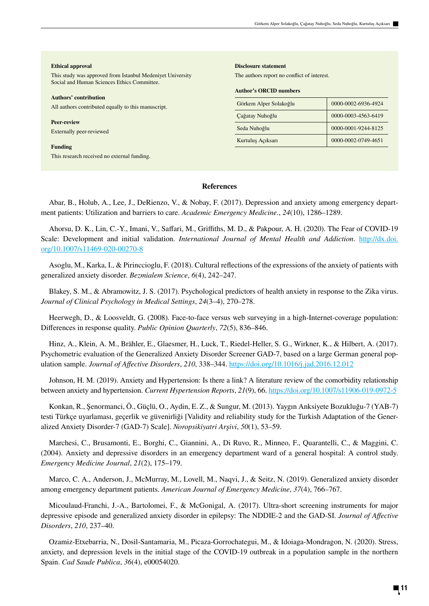### **Ethical approval**

This study was approved from Istanbul Medeniyet University Social and Human Sciences Ethics Committee.

#### **Authors' contribution**

All authors contributed equally to this manuscript.

**Peer-review** Externally peer-reviewed

**Funding** This research received no external funding.

### **Disclosure statement**

The authors report no conflict of interest.

## **Author's ORCID numbers**

| Görkem Alper Solakoğlu | 0000-0002-6936-4924 |  |  |
|------------------------|---------------------|--|--|
| Çağatay Nuhoğlu        | 0000-0003-4563-6419 |  |  |
| Seda Nuhoğlu           | 0000-0001-9244-8125 |  |  |
| Kurtuluş Açıksarı      | 0000-0002-0749-4651 |  |  |

# **References**

Abar, B., Holub, A., Lee, J., DeRienzo, V., & Nobay, F. (2017). Depression and anxiety among emergency department patients: Utilization and barriers to care. *Academic Emergency Medicine.*, *24*(10), 1286–1289.

Ahorsu, D. K., Lin, C.-Y., Imani, V., Saffari, M., Griffiths, M. D., & Pakpour, A. H. (2020). The Fear of COVID-19 Scale: Development and initial validation. *International Journal of Mental Health and Addiction*. http://dx.doi. org/10.1007/s11469-020-00270-8

Asoglu, M., Karka, I., & Pirinccioglu, F. (2018). Cultural reflections of the expressions of the anxiety of patients with generalized anxiety disorder. *Bezmialem Science*, *6*(4), 242–247.

Blakey, S. M., & Abramowitz, J. S. (2017). Psychological predictors of health anxiety in response to the Zika virus. *Journal of Clinical Psychology in Medical Settings*, *24*(3–4), 270–278.

Heerwegh, D., & Loosveldt, G. (2008). Face-to-face versus web surveying in a high-Internet-coverage population: Differences in response quality. *Public Opinion Quarterly*, *72*(5), 836–846.

Hinz, A., Klein, A. M., Brähler, E., Glaesmer, H., Luck, T., Riedel-Heller, S. G., Wirkner, K., & Hilbert, A. (2017). Psychometric evaluation of the Generalized Anxiety Disorder Screener GAD-7, based on a large German general population sample. *Journal of Affective Disorders*, *210*, 338–344. https://doi.org/10.1016/j.jad.2016.12.012

Johnson, H. M. (2019). Anxiety and Hypertension: Is there a link? A literature review of the comorbidity relationship between anxiety and hypertension. *Current Hypertension Reports*, *21*(9), 66. https://doi.org/10.1007/s11906-019-0972-5

Konkan, R., Şenormanci, Ö., Güçlü, O., Aydin, E. Z., & Sungur, M. (2013). Yaygın Anksiyete Bozukluğu-7 (YAB-7) testi Türkçe uyarlaması, geçerlik ve güvenirliği [Validity and reliability study for the Turkish Adaptation of the Generalized Anxiety Disorder-7 (GAD-7) Scale]. *Noropsikiyatri Arşivi*, *50*(1), 53–59.

Marchesi, C., Brusamonti, E., Borghi, C., Giannini, A., Di Ruvo, R., Minneo, F., Quarantelli, C., & Maggini, C. (2004). Anxiety and depressive disorders in an emergency department ward of a general hospital: A control study. *Emergency Medicine Journal*, *21*(2), 175–179.

Marco, C. A., Anderson, J., McMurray, M., Lovell, M., Naqvi, J., & Seitz, N. (2019). Generalized anxiety disorder among emergency department patients. *American Journal of Emergency Medicine*, *37*(4), 766–767.

Micoulaud-Franchi, J.-A., Bartolomei, F., & McGonigal, A. (2017). Ultra-short screening instruments for major depressive episode and generalized anxiety disorder in epilepsy: The NDDIE-2 and the GAD-SI. *Journal of Affective Disorders*, *210*, 237–40.

Ozamiz-Etxebarria, N., Dosil-Santamaria, M., Picaza-Gorrochategui, M., & Idoiaga-Mondragon, N. (2020). Stress, anxiety, and depression levels in the initial stage of the COVID-19 outbreak in a population sample in the northern Spain. *Cad Saude Publica*, *36*(4), e00054020.